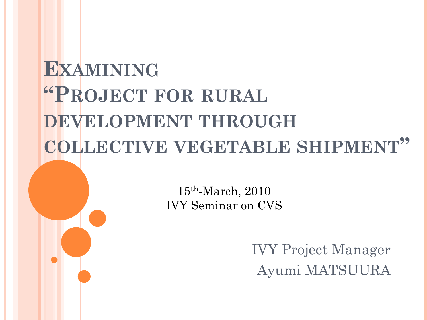## **EXAMINING "PROJECT FOR RURAL DEVELOPMENT THROUGH COLLECTIVE VEGETABLE SHIPMENT"**

15th-March, 2010 IVY Seminar on CVS

> IVY Project Manager Ayumi MATSUURA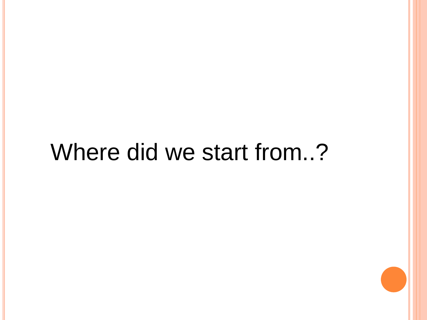## Where did we start from..?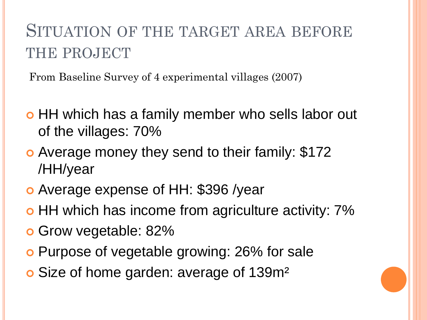## SITUATION OF THE TARGET AREA BEFORE THE PROJECT

From Baseline Survey of 4 experimental villages (2007)

- o HH which has a family member who sells labor out of the villages: 70%
- Average money they send to their family: \$172 /HH/year
- Average expense of HH: \$396 /year
- o HH which has income from agriculture activity:  $7\%$
- Grow vegetable: 82%
- Purpose of vegetable growing: 26% for sale
- Size of home garden: average of 139m²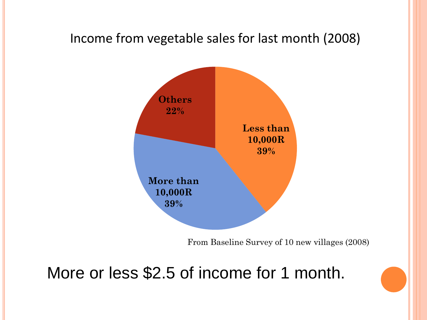#### Income from vegetable sales for last month (2008)



From Baseline Survey of 10 new villages (2008)

More or less \$2.5 of income for 1 month.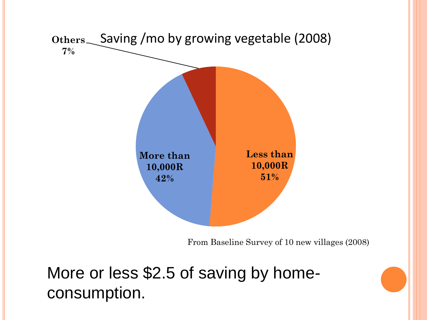

From Baseline Survey of 10 new villages (2008)

More or less \$2.5 of saving by homeconsumption.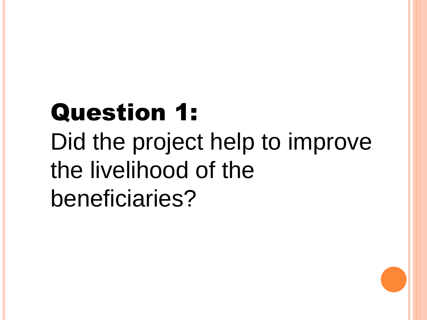# Question 1: Did the project help to improve the livelihood of the beneficiaries?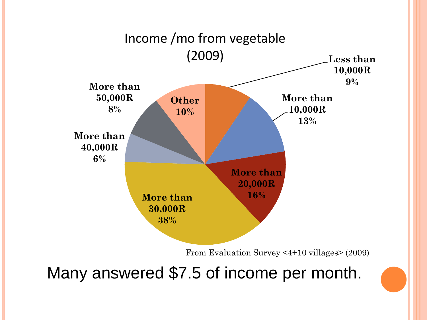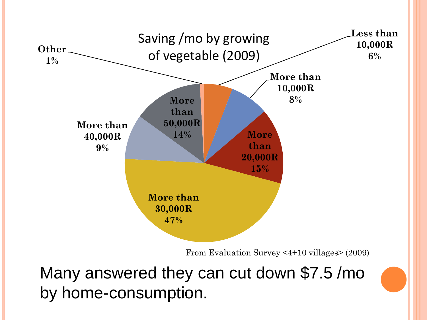

From Evaluation Survey <4+10 villages> (2009)

Many answered they can cut down \$7.5 /mo by home-consumption.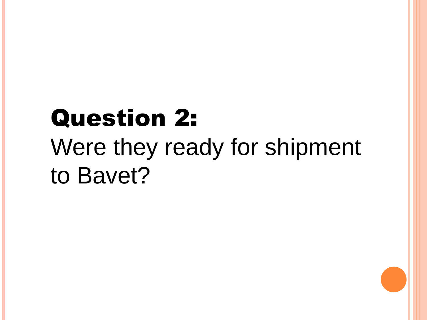# Question 2: Were they ready for shipment to Bavet?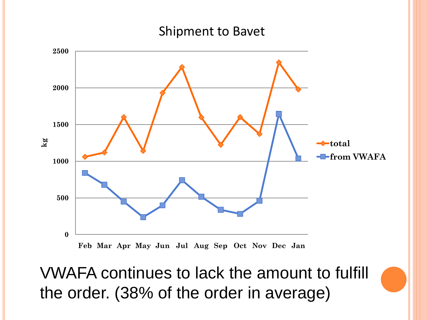#### Shipment to Bavet



VWAFA continues to lack the amount to fulfill the order. (38% of the order in average)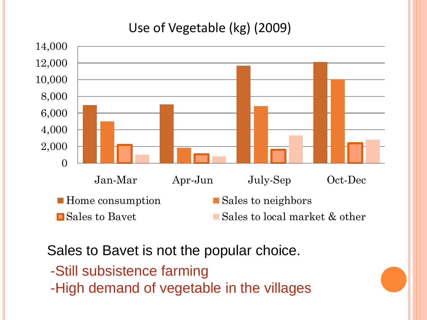#### Use of Vegetable (kg) (2009)



Sales to Bavet is not the popular choice.

- -Still subsistence farming
- -High demand of vegetable in the villages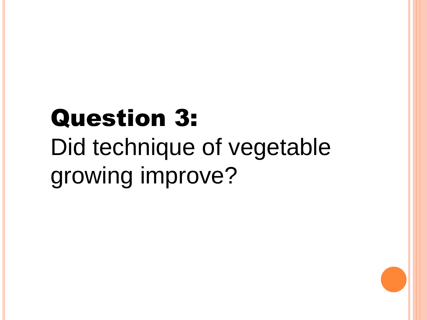# Question 3: Did technique of vegetable growing improve?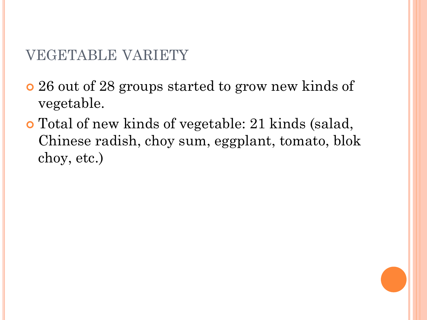#### VEGETABLE VARIETY

- 26 out of 28 groups started to grow new kinds of vegetable.
- Total of new kinds of vegetable: 21 kinds (salad, Chinese radish, choy sum, eggplant, tomato, blok choy, etc.)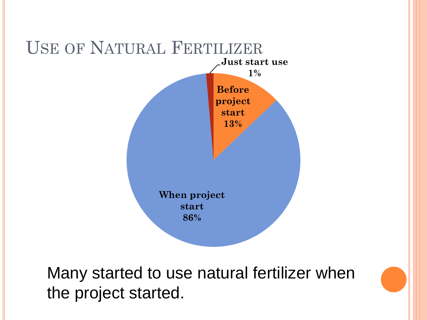

Many started to use natural fertilizer when the project started.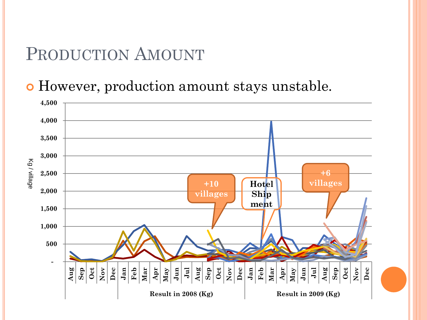### PRODUCTION AMOUNT

However, production amount stays unstable.